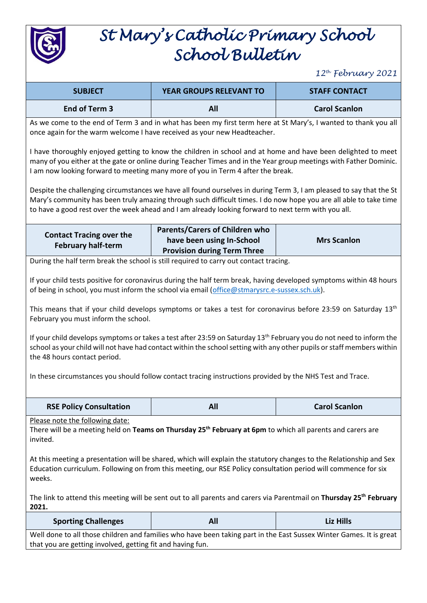

## *St Mary's Catholic Primary School School Bulletin*

*12th February 2021*

| <b>SUBJECT</b>                                                                                                                                                                                                                                                                                                                                                                                                                                                                                                                                                                                                                                                                                                                                                                                    | <b>YEAR GROUPS RELEVANT TO</b>                                                                           | <b>STAFF CONTACT</b> |  |  |  |
|---------------------------------------------------------------------------------------------------------------------------------------------------------------------------------------------------------------------------------------------------------------------------------------------------------------------------------------------------------------------------------------------------------------------------------------------------------------------------------------------------------------------------------------------------------------------------------------------------------------------------------------------------------------------------------------------------------------------------------------------------------------------------------------------------|----------------------------------------------------------------------------------------------------------|----------------------|--|--|--|
| End of Term 3                                                                                                                                                                                                                                                                                                                                                                                                                                                                                                                                                                                                                                                                                                                                                                                     | All                                                                                                      | <b>Carol Scanlon</b> |  |  |  |
| As we come to the end of Term 3 and in what has been my first term here at St Mary's, I wanted to thank you all<br>once again for the warm welcome I have received as your new Headteacher.                                                                                                                                                                                                                                                                                                                                                                                                                                                                                                                                                                                                       |                                                                                                          |                      |  |  |  |
| I have thoroughly enjoyed getting to know the children in school and at home and have been delighted to meet<br>many of you either at the gate or online during Teacher Times and in the Year group meetings with Father Dominic.<br>I am now looking forward to meeting many more of you in Term 4 after the break.                                                                                                                                                                                                                                                                                                                                                                                                                                                                              |                                                                                                          |                      |  |  |  |
| Despite the challenging circumstances we have all found ourselves in during Term 3, I am pleased to say that the St<br>Mary's community has been truly amazing through such difficult times. I do now hope you are all able to take time<br>to have a good rest over the week ahead and I am already looking forward to next term with you all.                                                                                                                                                                                                                                                                                                                                                                                                                                                   |                                                                                                          |                      |  |  |  |
| <b>Contact Tracing over the</b><br><b>February half-term</b>                                                                                                                                                                                                                                                                                                                                                                                                                                                                                                                                                                                                                                                                                                                                      | <b>Parents/Carers of Children who</b><br>have been using In-School<br><b>Provision during Term Three</b> | <b>Mrs Scanlon</b>   |  |  |  |
|                                                                                                                                                                                                                                                                                                                                                                                                                                                                                                                                                                                                                                                                                                                                                                                                   | During the half term break the school is still required to carry out contact tracing.                    |                      |  |  |  |
| If your child tests positive for coronavirus during the half term break, having developed symptoms within 48 hours<br>of being in school, you must inform the school via email (office@stmarysrc.e-sussex.sch.uk).<br>This means that if your child develops symptoms or takes a test for coronavirus before 23:59 on Saturday 13 <sup>th</sup><br>February you must inform the school.<br>If your child develops symptoms or takes a test after 23:59 on Saturday 13 <sup>th</sup> February you do not need to inform the<br>school as your child will not have had contact within the school setting with any other pupils or staff members within<br>the 48 hours contact period.<br>In these circumstances you should follow contact tracing instructions provided by the NHS Test and Trace. |                                                                                                          |                      |  |  |  |
| <b>RSE Policy Consultation</b>                                                                                                                                                                                                                                                                                                                                                                                                                                                                                                                                                                                                                                                                                                                                                                    | All                                                                                                      | <b>Carol Scanlon</b> |  |  |  |
| Please note the following date:<br>There will be a meeting held on Teams on Thursday 25 <sup>th</sup> February at 6pm to which all parents and carers are<br>invited.<br>At this meeting a presentation will be shared, which will explain the statutory changes to the Relationship and Sex<br>Education curriculum. Following on from this meeting, our RSE Policy consultation period will commence for six<br>weeks.<br>The link to attend this meeting will be sent out to all parents and carers via Parentmail on Thursday 25 <sup>th</sup> February<br>2021.                                                                                                                                                                                                                              |                                                                                                          |                      |  |  |  |
| <b>Sporting Challenges</b>                                                                                                                                                                                                                                                                                                                                                                                                                                                                                                                                                                                                                                                                                                                                                                        | <b>All</b>                                                                                               | <b>Liz Hills</b>     |  |  |  |
| Well done to all those children and families who have been taking part in the East Sussex Winter Games. It is great<br>that you are getting involved, getting fit and having fun.                                                                                                                                                                                                                                                                                                                                                                                                                                                                                                                                                                                                                 |                                                                                                          |                      |  |  |  |